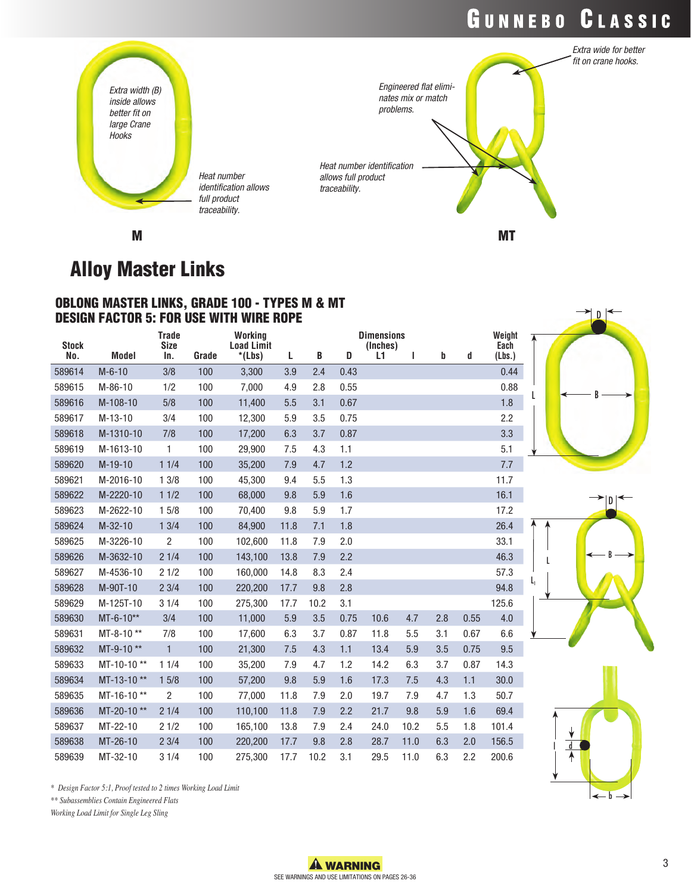## GUNNEBO CLASSIC

D

B

D

b



M

### Alloy Master Links

### OBLONG MASTER LINKS, GRADE 100 - TYPES M & MT DESIGN FACTOR 5: FOR USE WITH WIRE ROPE

| <b>Stock</b> |              | <b>Trade</b><br><b>Size</b> |       | Working<br><b>Load Limit</b> |      |      |      | <b>Dimensions</b><br>(Inches) |      |     |      | Weight<br>Each |    |  |
|--------------|--------------|-----------------------------|-------|------------------------------|------|------|------|-------------------------------|------|-----|------|----------------|----|--|
| No.          | <b>Model</b> | In.                         | Grade | $*(Lbs)$                     | L    | B    | D    | L1                            | L    | b   | d    | (Lbs.)         |    |  |
| 589614       | $M-6-10$     | 3/8                         | 100   | 3,300                        | 3.9  | 2.4  | 0.43 |                               |      |     |      | 0.44           |    |  |
| 589615       | $M-86-10$    | 1/2                         | 100   | 7,000                        | 4.9  | 2.8  | 0.55 |                               |      |     |      | 0.88           |    |  |
| 589616       | M-108-10     | 5/8                         | 100   | 11,400                       | 5.5  | 3.1  | 0.67 |                               |      |     |      | 1.8            |    |  |
| 589617       | $M-13-10$    | 3/4                         | 100   | 12,300                       | 5.9  | 3.5  | 0.75 |                               |      |     |      | 2.2            |    |  |
| 589618       | M-1310-10    | 7/8                         | 100   | 17,200                       | 6.3  | 3.7  | 0.87 |                               |      |     |      | 3.3            |    |  |
| 589619       | M-1613-10    | $\mathbf{1}$                | 100   | 29,900                       | 7.5  | 4.3  | 1.1  |                               |      |     |      | 5.1            |    |  |
| 589620       | $M-19-10$    | 11/4                        | 100   | 35,200                       | 7.9  | 4.7  | 1.2  |                               |      |     |      | 7.7            |    |  |
| 589621       | M-2016-10    | 13/8                        | 100   | 45,300                       | 9.4  | 5.5  | 1.3  |                               |      |     |      | 11.7           |    |  |
| 589622       | M-2220-10    | 11/2                        | 100   | 68,000                       | 9.8  | 5.9  | 1.6  |                               |      |     |      | 16.1           |    |  |
| 589623       | M-2622-10    | 15/8                        | 100   | 70,400                       | 9.8  | 5.9  | 1.7  |                               |      |     |      | 17.2           |    |  |
| 589624       | $M-32-10$    | 13/4                        | 100   | 84,900                       | 11.8 | 7.1  | 1.8  |                               |      |     |      | 26.4           |    |  |
| 589625       | M-3226-10    | $\overline{2}$              | 100   | 102,600                      | 11.8 | 7.9  | 2.0  |                               |      |     |      | 33.1           |    |  |
| 589626       | M-3632-10    | 21/4                        | 100   | 143,100                      | 13.8 | 7.9  | 2.2  |                               |      |     |      | 46.3           |    |  |
| 589627       | M-4536-10    | 21/2                        | 100   | 160,000                      | 14.8 | 8.3  | 2.4  |                               |      |     |      | 57.3           |    |  |
| 589628       | M-90T-10     | 23/4                        | 100   | 220,200                      | 17.7 | 9.8  | 2.8  |                               |      |     |      | 94.8           | L, |  |
| 589629       | M-125T-10    | 31/4                        | 100   | 275,300                      | 17.7 | 10.2 | 3.1  |                               |      |     |      | 125.6          |    |  |
| 589630       | $MT-6-10**$  | 3/4                         | 100   | 11,000                       | 5.9  | 3.5  | 0.75 | 10.6                          | 4.7  | 2.8 | 0.55 | 4.0            |    |  |
| 589631       | MT-8-10**    | 7/8                         | 100   | 17,600                       | 6.3  | 3.7  | 0.87 | 11.8                          | 5.5  | 3.1 | 0.67 | 6.6            |    |  |
| 589632       | MT-9-10**    | $\mathbf{1}$                | 100   | 21,300                       | 7.5  | 4.3  | 1.1  | 13.4                          | 5.9  | 3.5 | 0.75 | 9.5            |    |  |
| 589633       | MT-10-10**   | 11/4                        | 100   | 35,200                       | 7.9  | 4.7  | 1.2  | 14.2                          | 6.3  | 3.7 | 0.87 | 14.3           |    |  |
| 589634       | MT-13-10**   | 15/8                        | 100   | 57,200                       | 9.8  | 5.9  | 1.6  | 17.3                          | 7.5  | 4.3 | 1.1  | 30.0           |    |  |
| 589635       | MT-16-10**   | $\overline{2}$              | 100   | 77,000                       | 11.8 | 7.9  | 2.0  | 19.7                          | 7.9  | 4.7 | 1.3  | 50.7           |    |  |
| 589636       | MT-20-10**   | 21/4                        | 100   | 110,100                      | 11.8 | 7.9  | 2.2  | 21.7                          | 9.8  | 5.9 | 1.6  | 69.4           |    |  |
| 589637       | MT-22-10     | 21/2                        | 100   | 165,100                      | 13.8 | 7.9  | 2.4  | 24.0                          | 10.2 | 5.5 | 1.8  | 101.4          |    |  |
| 589638       | MT-26-10     | 23/4                        | 100   | 220,200                      | 17.7 | 9.8  | 2.8  | 28.7                          | 11.0 | 6.3 | 2.0  | 156.5          |    |  |
| 589639       | MT-32-10     | 31/4                        | 100   | 275.300                      | 17.7 | 10.2 | 3.1  | 29.5                          | 11.0 | 6.3 | 2.2  | 200.6          |    |  |

*\* Design Factor 5:1, Proof tested to 2 times Working Load Limit*

*\*\* Subassemblies Contain Engineered Flats*

*Working Load Limit for Single Leg Sling*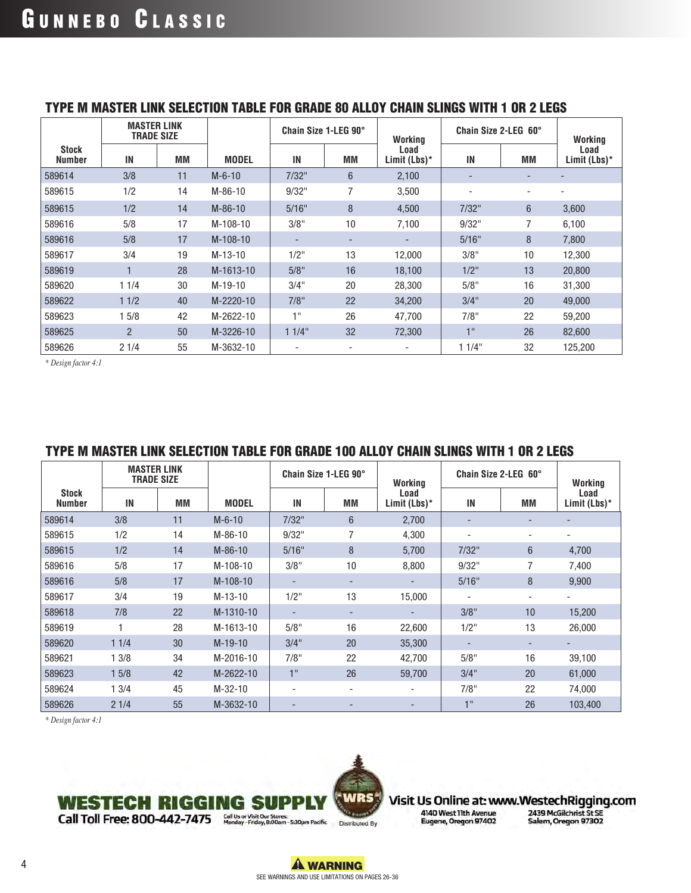|                        | <b>MASTER LINK</b><br><b>TRADE SIZE</b> |    |              | Chain Size 1-LEG 90°     |    | Working              | Chain Size 2-LEG 60°         |                | Working              |
|------------------------|-----------------------------------------|----|--------------|--------------------------|----|----------------------|------------------------------|----------------|----------------------|
| Stock<br><b>Number</b> | IN                                      | MМ | <b>MODEL</b> | IN                       | MМ | Load<br>Limit (Lbs)* | IN                           | MМ             | Load<br>Limit (Lbs)* |
| 589614                 | 3/8                                     | 11 | $M - 6 - 10$ | 7/32"                    | 6  | 2,100                | $\qquad \qquad \blacksquare$ |                |                      |
| 589615                 | 1/2                                     | 14 | $M-86-10$    | 9/32"                    | 7  | 3,500                |                              |                |                      |
| 589615                 | 1/2                                     | 14 | $M-86-10$    | 5/16"                    | 8  | 4,500                | 7/32"                        | $6\phantom{1}$ | 3,600                |
| 589616                 | 5/8                                     | 17 | M-108-10     | 3/8"                     | 10 | 7,100                | 9/32"                        | 7              | 6,100                |
| 589616                 | 5/8                                     | 17 | $M-108-10$   | $\overline{\phantom{a}}$ |    | -                    | 5/16"                        | 8              | 7.800                |
| 589617                 | 3/4                                     | 19 | $M-13-10$    | $1/2$ "                  | 13 | 12,000               | 3/8"                         | 10             | 12,300               |
| 589619                 |                                         | 28 | M-1613-10    | 5/8"                     | 16 | 18,100               | $1/2$ "                      | 13             | 20,800               |
| 589620                 | 11/4                                    | 30 | $M-19-10$    | 3/4"                     | 20 | 28,300               | 5/8"                         | 16             | 31,300               |
| 589622                 | 11/2                                    | 40 | M-2220-10    | 7/8"                     | 22 | 34,200               | 3/4"                         | 20             | 49,000               |
| 589623                 | 15/8                                    | 42 | M-2622-10    | 1 <sup>11</sup>          | 26 | 47,700               | 7/8"                         | 22             | 59,200               |
| 589625                 | $\overline{2}$                          | 50 | M-3226-10    | 11/4"                    | 32 | 72,300               | 1"                           | 26             | 82,600               |
| 589626                 | 21/4                                    | 55 | M-3632-10    |                          |    |                      | 11/4"                        | 32             | 125,200              |

### TYPE M MASTER LINK SELECTION TABLE FOR GRADE 80 ALLOY CHAIN SLINGS WITH 1 OR 2 LEGS

*\* Design factor 4:1*

### TYPE M MASTER LINK SELECTION TABLE FOR GRADE 100 ALLOY CHAIN SLINGS WITH 1 OR 2 LEGS

|                               | <b>MASTER LINK</b><br><b>TRADE SIZE</b> |    |              | Chain Size 1-LEG 90°     |    | Working              | Chain Size 2-LEG 60° |    | Working              |
|-------------------------------|-----------------------------------------|----|--------------|--------------------------|----|----------------------|----------------------|----|----------------------|
| <b>Stock</b><br><b>Number</b> | IN                                      | MМ | <b>MODEL</b> | IN                       | МM | Load<br>Limit (Lbs)* | IN                   | MМ | Load<br>Limit (Lbs)* |
| 589614                        | 3/8                                     | 11 | $M - 6 - 10$ | 7/32"                    | 6  | 2,700                |                      |    |                      |
| 589615                        | 1/2                                     | 14 | $M-86-10$    | 9/32"                    | 7  | 4,300                |                      |    | ۰                    |
| 589615                        | 1/2                                     | 14 | $M-86-10$    | 5/16"                    | 8  | 5,700                | 7/32"                | 6  | 4,700                |
| 589616                        | 5/8                                     | 17 | M-108-10     | 3/8"                     | 10 | 8,800                | 9/32"                |    | 7,400                |
| 589616                        | 5/8                                     | 17 | $M-108-10$   |                          | -  |                      | 5/16"                | 8  | 9,900                |
| 589617                        | 3/4                                     | 19 | $M-13-10$    | $1/2$ "                  | 13 | 15,000               |                      | ۰  | ٠                    |
| 589618                        | 7/8                                     | 22 | M-1310-10    | $\overline{\phantom{a}}$ | -  |                      | 3/8"                 | 10 | 15,200               |
| 589619                        |                                         | 28 | M-1613-10    | 5/8"                     | 16 | 22,600               | $1/2$ "              | 13 | 26,000               |
| 589620                        | 11/4                                    | 30 | $M-19-10$    | 3/4"                     | 20 | 35,300               | ٠                    | ٠  | -                    |
| 589621                        | 13/8                                    | 34 | M-2016-10    | 7/8"                     | 22 | 42,700               | 5/8"                 | 16 | 39,100               |
| 589623                        | 15/8                                    | 42 | M-2622-10    | 1"                       | 26 | 59,700               | 3/4"                 | 20 | 61,000               |
| 589624                        | 13/4                                    | 45 | $M-32-10$    | $\overline{\phantom{a}}$ | -  |                      | 7/8"                 | 22 | 74,000               |
| 589626                        | 21/4                                    | 55 | M-3632-10    | $\overline{\phantom{a}}$ |    |                      | 4H                   | 26 | 103,400              |

*\* Design factor 4:1*



Visit Us Online at: www.WestechRigging.com

### **WESTECH RIGGING SUPPLY** Call Toll Free: 800-442-7475 Monday-Friday, 8:00am-5:30pm Pacific Distributed By

4 **WARNING** SEE WARNINGS AND USE LIMITATIONS ON PAGES 26-36